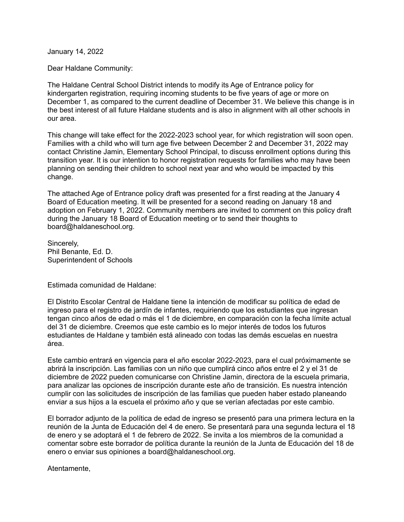January 14, 2022

Dear Haldane Community:

The Haldane Central School District intends to modify its Age of Entrance policy for kindergarten registration, requiring incoming students to be five years of age or more on December 1, as compared to the current deadline of December 31. We believe this change is in the best interest of all future Haldane students and is also in alignment with all other schools in our area.

This change will take effect for the 2022-2023 school year, for which registration will soon open. Families with a child who will turn age five between December 2 and December 31, 2022 may contact Christine Jamin, Elementary School Principal, to discuss enrollment options during this transition year. It is our intention to honor registration requests for families who may have been planning on sending their children to school next year and who would be impacted by this change.

The attached Age of Entrance policy draft was presented for a first reading at the January 4 Board of Education meeting. It will be presented for a second reading on January 18 and adoption on February 1, 2022. Community members are invited to comment on this policy draft during the January 18 Board of Education meeting or to send their thoughts to board@haldaneschool.org.

Sincerely, Phil Benante, Ed. D. Superintendent of Schools

Estimada comunidad de Haldane:

El Distrito Escolar Central de Haldane tiene la intención de modificar su política de edad de ingreso para el registro de jardín de infantes, requiriendo que los estudiantes que ingresan tengan cinco años de edad o más el 1 de diciembre, en comparación con la fecha límite actual del 31 de diciembre. Creemos que este cambio es lo mejor interés de todos los futuros estudiantes de Haldane y también está alineado con todas las demás escuelas en nuestra área.

Este cambio entrará en vigencia para el año escolar 2022-2023, para el cual próximamente se abrirá la inscripción. Las familias con un niño que cumplirá cinco años entre el 2 y el 31 de diciembre de 2022 pueden comunicarse con Christine Jamin, directora de la escuela primaria, para analizar las opciones de inscripción durante este año de transición. Es nuestra intención cumplir con las solicitudes de inscripción de las familias que pueden haber estado planeando enviar a sus hijos a la escuela el próximo año y que se verían afectadas por este cambio.

El borrador adjunto de la política de edad de ingreso se presentó para una primera lectura en la reunión de la Junta de Educación del 4 de enero. Se presentará para una segunda lectura el 18 de enero y se adoptará el 1 de febrero de 2022. Se invita a los miembros de la comunidad a comentar sobre este borrador de política durante la reunión de la Junta de Educación del 18 de enero o enviar sus opiniones a board@haldaneschool.org.

Atentamente,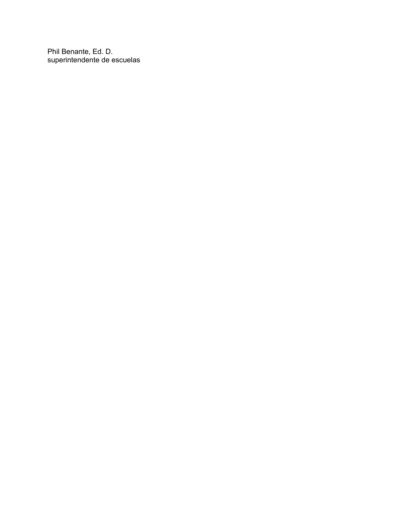Phil Benante, Ed. D. superintendente de escuelas